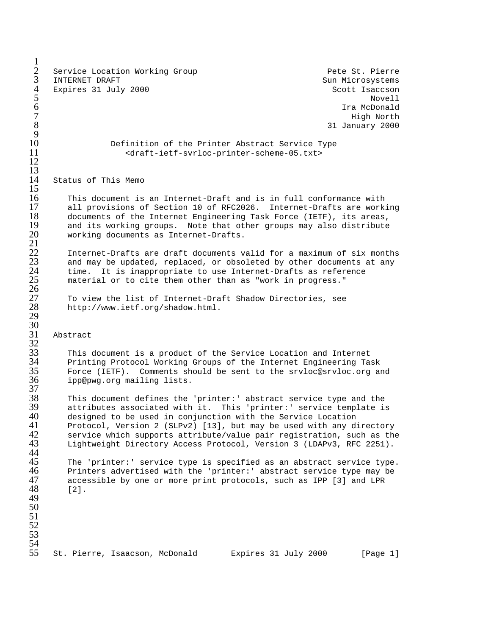$\frac{1}{2}$ 2 Service Location Working Group Pete St. Pierre<br>3 INTERNET DRAFT 3 INTERNET DRAFT Sun Microsystems Sun Microsystems 4 Expires 31 July 2000 Scott Isaccson<br>5 Sout Isaacson Novell 5 Novell  $\,6\,$  Tra McDonald  $\,$  $7$  High North  $\sim$  $8$  31 January 2000  $\frac{9}{10}$ 10 Definition of the Printer Abstract Service Type 11 <draft-ietf-svrloc-printer-scheme-05.txt> 12 13 14 Status of This Memo  $\frac{15}{16}$ 16 This document is an Internet-Draft and is in full conformance with<br>17 all provisions of Section 10 of RFC2026. Internet-Drafts are work. 17 all provisions of Section 10 of RFC2026. Internet-Drafts are working<br>18 documents of the Internet Engineering Task Force (IETF), its areas, 18 documents of the Internet Engineering Task Force (IETF), its areas,<br>19 and its working groups. Note that other groups may also distribute 19 and its working groups. Note that other groups may also distribute 20 working documents as Internet-Drafts. working documents as Internet-Drafts.  $\frac{21}{22}$ 22 Internet-Drafts are draft documents valid for a maximum of six months<br>23 and may be updated, replaced, or obsoleted by other documents at any<br>24 time. It is inappropriate to use Internet-Drafts as reference and may be updated, replaced, or obsoleted by other documents at any time. It is inappropriate to use Internet-Drafts as reference material or to cite them other than as "work in progress." 26 27 To view the list of Internet-Draft Shadow Directories, see 28 http://www.ietf.org/shadow.html. 29 30 31 Abstract  $rac{32}{33}$ 33 This document is a product of the Service Location and Internet 34 Printing Protocol Working Groups of the Internet Engineering Task<br>35 Force (IETF). Comments should be sent to the srvloc@srvloc.org an<br>36 ipp@pwg.org mailing lists. Force (IETF). Comments should be sent to the srvloc@srvloc.org and ipp@pwg.org mailing lists.  $\frac{37}{38}$ 38 This document defines the 'printer:' abstract service type and the 39 attributes associated with it. This 'printer:' service template is<br>40 designed to be used in conjunction with the Service Location 40 designed to be used in conjunction with the Service Location<br>41 Protocol, Version 2 (SLPv2) [13], but may be used with any d: 41 Protocol, Version 2 (SLPv2) [13], but may be used with any directory<br>42 Service which supports attribute/value pair registration, such as the 42 service which supports attribute/value pair registration, such as the<br>43 Lightweight Directory Access Protocol, Version 3 (LDAPv3, RFC 2251). Lightweight Directory Access Protocol, Version 3 (LDAPv3, RFC 2251). 44<br>45 45 The 'printer:' service type is specified as an abstract service type.<br>46 Printers advertised with the 'printer:' abstract service type may be 46 Printers advertised with the 'printer:' abstract service type may be<br>47 accessible by one or more print protocols, such as IPP [3] and LPR 47 accessible by one or more print protocols, such as IPP [3] and LPR 48 [2]. 48 [2]. 49 50 51 52 53 54 St. Pierre, Isaacson, McDonald Expires 31 July 2000 [Page 1]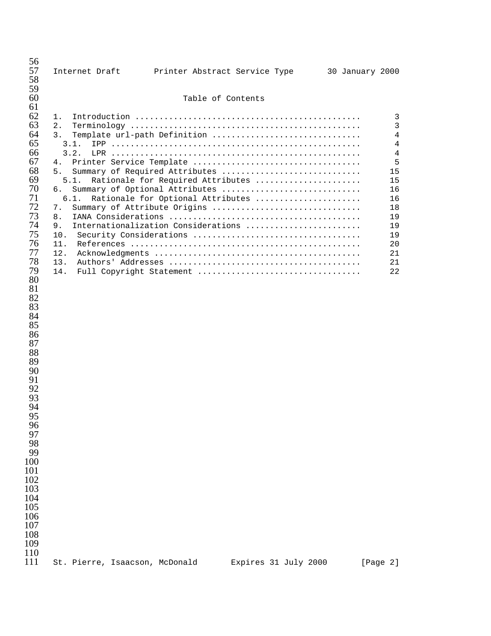| 56<br>57<br>58<br>59                                                                                                                                                                                                                                                                                         |                                                                                                                       |  |  | Internet Draft     Printer Abstract Service Type                                                                                                                                                                                                                                                          |  | 30 January 2000                                                                                                        |  |
|--------------------------------------------------------------------------------------------------------------------------------------------------------------------------------------------------------------------------------------------------------------------------------------------------------------|-----------------------------------------------------------------------------------------------------------------------|--|--|-----------------------------------------------------------------------------------------------------------------------------------------------------------------------------------------------------------------------------------------------------------------------------------------------------------|--|------------------------------------------------------------------------------------------------------------------------|--|
| 60                                                                                                                                                                                                                                                                                                           | Table of Contents                                                                                                     |  |  |                                                                                                                                                                                                                                                                                                           |  |                                                                                                                        |  |
| 61<br>62<br>63<br>64<br>65<br>66<br>67<br>68<br>69<br>70<br>71<br>72<br>73<br>74<br>75<br>76<br>77<br>78<br>79<br>80<br>81<br>82<br>83<br>84<br>85<br>86<br>87<br>88<br>89<br>90<br>91<br>92<br>93<br>94<br>95<br>96<br>97<br>98<br>99<br>100<br>101<br>102<br>103<br>104<br>105<br>106<br>107<br>108<br>109 | 1.<br>2.<br>3.<br>3.1.<br>3.2.<br>4.<br>5.<br>5.1.<br>б.<br>6.1.<br>7.<br>8.<br>9.<br>10.<br>11.<br>12.<br>13.<br>14. |  |  | Template url-path Definition<br>Printer Service Template<br>Summary of Required Attributes<br>Rationale for Required Attributes<br>Summary of Optional Attributes<br>Rationale for Optional Attributes<br>Summary of Attribute Origins<br>Internationalization Considerations<br>Full Copyright Statement |  | 3<br>$\mathbf{3}$<br>$\sqrt{4}$<br>4<br>4<br>5<br>15<br>15<br>16<br>16<br>18<br>19<br>19<br>19<br>20<br>21<br>21<br>22 |  |
| 110<br>111                                                                                                                                                                                                                                                                                                   | St. Pierre, Isaacson, McDonald                                                                                        |  |  | Expires 31 July 2000                                                                                                                                                                                                                                                                                      |  | [Page 2]                                                                                                               |  |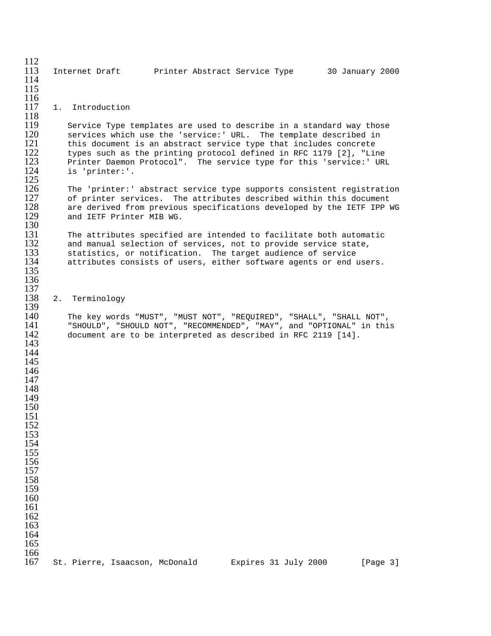| 112<br>113<br>114<br>115                                                                                                                                                                  | Internet Draft brinter Abstract Service Type<br>30 January 2000                                                                                                                                                                                                                                                                                                           |
|-------------------------------------------------------------------------------------------------------------------------------------------------------------------------------------------|---------------------------------------------------------------------------------------------------------------------------------------------------------------------------------------------------------------------------------------------------------------------------------------------------------------------------------------------------------------------------|
| 116<br>117<br>118                                                                                                                                                                         | 1. Introduction                                                                                                                                                                                                                                                                                                                                                           |
| 119<br>120<br>121<br>122<br>123<br>124<br>125                                                                                                                                             | Service Type templates are used to describe in a standard way those<br>services which use the 'service:' URL. The template described in<br>this document is an abstract service type that includes concrete<br>types such as the printing protocol defined in RFC 1179 [2], "Line<br>Printer Daemon Protocol". The service type for this 'service:' URL<br>is 'printer:'. |
| 126<br>127<br>128<br>129<br>130                                                                                                                                                           | The 'printer:' abstract service type supports consistent registration<br>of printer services. The attributes described within this document<br>are derived from previous specifications developed by the IETF IPP WG<br>and IETF Printer MIB WG.                                                                                                                          |
| 131<br>132<br>133<br>134<br>135                                                                                                                                                           | The attributes specified are intended to facilitate both automatic<br>and manual selection of services, not to provide service state,<br>statistics, or notification. The target audience of service<br>attributes consists of users, either software agents or end users.                                                                                                |
| 136<br>137<br>138<br>139                                                                                                                                                                  | 2. Terminology                                                                                                                                                                                                                                                                                                                                                            |
| 140<br>141<br>142<br>143<br>144<br>145<br>146<br>147<br>148<br>149<br>150<br>151<br>152<br>153<br>154<br>155<br>156<br>157<br>158<br>159<br>160<br>161<br>162<br>163<br>164<br>165<br>166 | The key words "MUST", "MUST NOT", "REQUIRED", "SHALL", "SHALL NOT",<br>"SHOULD", "SHOULD NOT", "RECOMMENDED", "MAY", and "OPTIONAL" in this<br>document are to be interpreted as described in RFC 2119 [14].                                                                                                                                                              |
| 167                                                                                                                                                                                       | St. Pierre, Isaacson, McDonald<br>Expires 31 July 2000<br>[Page 3]                                                                                                                                                                                                                                                                                                        |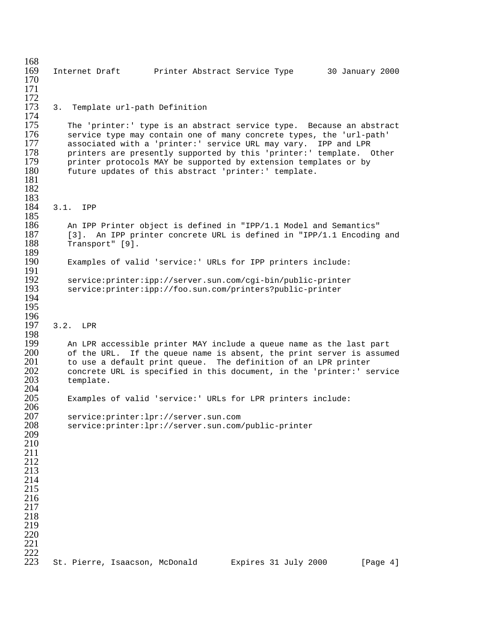168<br>169 169 Internet Draft Printer Abstract Service Type 30 January 2000 170 171  $\frac{172}{173}$ 3. Template url-path Definition 174<br>175 175 The 'printer:' type is an abstract service type. Because an abstract<br>176 Service type may contain one of many concrete types, the 'url-path' 176 service type may contain one of many concrete types, the 'url-path'<br>177 associated with a 'printer:' service URL may vary. IPP and LPR 177 associated with a 'printer:' service URL may vary. IPP and LPR<br>178 printers are presently supported by this 'printer:' template. ( 178 printers are presently supported by this 'printer:' template. Other<br>179 printer protocols MAY be supported by extension templates or by printer protocols MAY be supported by extension templates or by 180 future updates of this abstract 'printer:' template. 181 182 183<br>184 3.1. IPP 185<br>186 186 An IPP Printer object is defined in "IPP/1.1 Model and Semantics"<br>187 [3]. An IPP printer concrete URL is defined in "IPP/1.1 Encoding 187 [3]. An IPP printer concrete URL is defined in "IPP/1.1 Encoding and 188 [13]. Transport" [9]. 189<br>190 Examples of valid 'service:' URLs for IPP printers include: 191<br>192 192 service:printer:ipp://server.sun.com/cgi-bin/public-printer service: printer: ipp://foo.sun.com/printers?public-printer 194 195 196<br>197 3.2. LPR 198<br>199 199 An LPR accessible printer MAY include a queue name as the last part<br>200 of the URL. If the queue name is absent, the print server is assume 200 of the URL. If the queue name is absent, the print server is assumed 201 to use a default print queue. The definition of an LPR printer 201 to use a default print queue. The definition of an LPR printer<br>202 concrete URL is specified in this document, in the 'printer:' s 202 concrete URL is specified in this document, in the 'printer:' service 203 template. template. 204 Examples of valid 'service:' URLs for LPR printers include: 206 207 service:printer:lpr://server.sun.com service: printer: lpr://server.sun.com/public-printer 209 210 211 212 213 214 215 216 217 218 219 220 221  $^{222}_{223}$ St. Pierre, Isaacson, McDonald Expires 31 July 2000 [Page 4]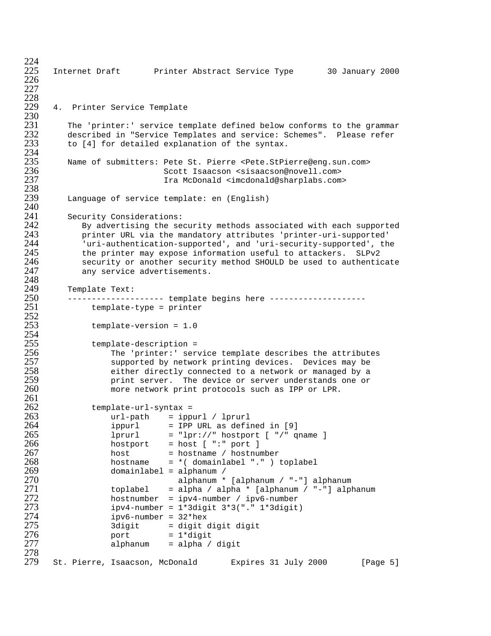```
^{224}_{225}225 Internet Draft Printer Abstract Service Type 30 January 2000
226
227
228<br>229
      4. Printer Service Template
230<br>231
231 The 'printer:' service template defined below conforms to the grammar<br>232       described in "Service Templates and service: Schemes".  Please refer
232 described in "Service Templates and service: Schemes". Please refer<br>233 to [4] for detailed explanation of the syntax.
         to [4] for detailed explanation of the syntax.
234<br>235
235 Name of submitters: Pete St. Pierre <Pete.StPierre@eng.sun.com>
236 Scott Isaacson <sisaacson@novell.com>
                              Ira McDonald <imcdonald@sharplabs.com>
238<br>239
         Language of service template: en (English)
240<br>241
241        Security Considerations:<br>242          By advertising the se
242 By advertising the security methods associated with each supported
243 printer URL via the mandatory attributes 'printer-uri-supported'
244 'uri-authentication-supported', and 'uri-security-supported', the<br>245 the printer may expose information useful to attackers. SLPv2
245 the printer may expose information useful to attackers. SLPv2
246 security or another security method SHOULD be used to authenticate
            any service advertisements.
248<br>249
249 Template Text:
250      -------------------- template begins here ---------------------<br>251           template-type = printer
              template-type = printer
\frac{252}{253}template-version = 1.0254<br>255
255 template-description =<br>256 The 'printer:' ser
256 The 'printer:' service template describes the attributes
257 supported by network printing devices. Devices may be
258 either directly connected to a network or managed by a
259 print server. The device or server understands one or
                  more network print protocols such as IPP or LPR.
261<br>262
262 template-url-syntax =<br>263 url-path = ipp
263 url-path = ippurl / lprurl
                  ippurl = IPP URL as defined in [9]265 lprurl = "lpr://" hostport [ "/" qname ]<br>266 hostport = host [ ":" port ]
266 hostport = host [ ":" port ]
267 host = hostname / hostnumber
268 hostname = *( domainlabel "." ) toplabel
269 domainlabel = alphanum /
270 alphanum * [alphanum / "-"] alphanum
271 toplabel = alpha / alpha * [alphanum / "-"] alphanum<br>272 hostnumber = ipv4-number / ipv6-number
272 hostnumber = ipv4-number / ipv6-number<br>273 hostnumber = 1*3digit 3*3("." 1*3digit
273 ipv4-number = 1*3digit 3*3("." 1*3digit)
274 ipv6-number = 32*hex
275 3digit = digit digit digit
276 port = 1*digit
                   alpha197 alpha / digit
278<br>279
      St. Pierre, Isaacson, McDonald Expires 31 July 2000 [Page 5]
```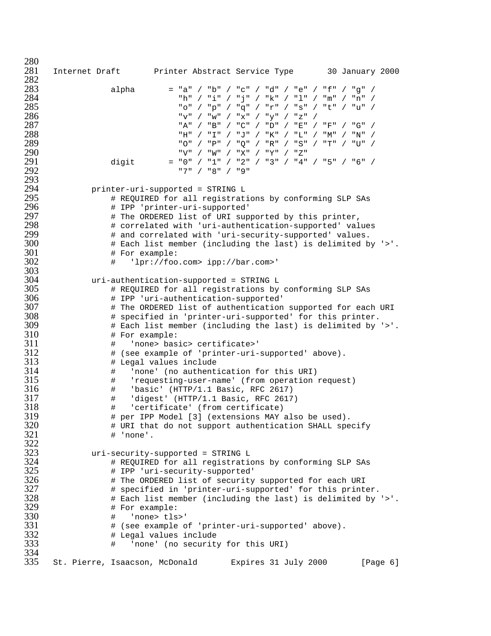$\frac{280}{281}$  Internet Draft Printer Abstract Service Type 30 January 2000 282<br>283 alpha = "a" / "b" / "c" / "d" / "e" / "f" / "g" / "h" / "i" / "j" / "k" / "l" / "m" / "n" / "o" / "p" / "q" / "r" / "s" / "t" / "u" / "v" / "w" / "x" / "y" / "z" / "A" / "B" / "C" / "D" / "E" / "F" / "G" / י יצו יי יו די יו די יו די יו די יו די יו די לא האט א 1882.<br>289 - משוי יו די יו די יו די יו די יו די יו די יו די יו די יו די יו די יו די יו די יו די יו די יו די יו די יו<br>289 - יו די יו די יו די יו די יו די יו די יו די יו "O" / "P" / "Q" / "R" / "S" / "T" / "U" / . "290 / "V" / "W" / "X" / "Y" / "Z"<br>291 / ∴aiqit / = "0" / "1" / "2" / "3" / "4" digit = "0" / "1" / "2" / "3" / "4" / "5" / "6" / "7" / "8" / "9" printer-uri-supported = STRING L # REQUIRED for all registrations by conforming SLP SAs # IPP 'printer-uri-supported' # The ORDERED list of URI supported by this printer, # correlated with 'uri-authentication-supported' values # and correlated with 'uri-security-supported' values. # Each list member (including the last) is delimited by '>'. # For example: # 'lpr://foo.com> ipp://bar.com>' 303<br>304 uri-authentication-supported = STRING L # REQUIRED for all registrations by conforming SLP SAs # IPP 'uri-authentication-supported' # The ORDERED list of authentication supported for each URI # specified in 'printer-uri-supported' for this printer. # Each list member (including the last) is delimited by '>'. # For example: # 'none> basic> certificate>' # (see example of 'printer-uri-supported' above). # Legal values include # 'none' (no authentication for this URI) # 'requesting-user-name' (from operation request) # 'basic' (HTTP/1.1 Basic, RFC 2617) # 'digest' (HTTP/1.1 Basic, RFC 2617) # 'certificate' (from certificate) # per IPP Model [3] (extensions MAY also be used). # URI that do not support authentication SHALL specify  $\qquad$   $\qquad$   $\qquad$   $\qquad$   $\qquad$   $\qquad$   $\qquad$   $\qquad$   $\qquad$   $\qquad$   $\qquad$   $\qquad$   $\qquad$   $\qquad$   $\qquad$   $\qquad$   $\qquad$   $\qquad$   $\qquad$   $\qquad$   $\qquad$   $\qquad$   $\qquad$   $\qquad$   $\qquad$   $\qquad$   $\qquad$   $\qquad$   $\qquad$   $\qquad$   $\qquad$   $\qquad$   $\qquad$   $\qquad$   $\qquad$   $\qquad$ 322<br>323 uri-security-supported = STRING L # REQUIRED for all registrations by conforming SLP SAs # IPP 'uri-security-supported' # The ORDERED list of security supported for each URI # specified in 'printer-uri-supported' for this printer. # Each list member (including the last) is delimited by '>'. # For example: # 'none> tls>' # (see example of 'printer-uri-supported' above). # Legal values include # 'none' (no security for this URI) 334<br>335 St. Pierre, Isaacson, McDonald Expires 31 July 2000 [Page 6]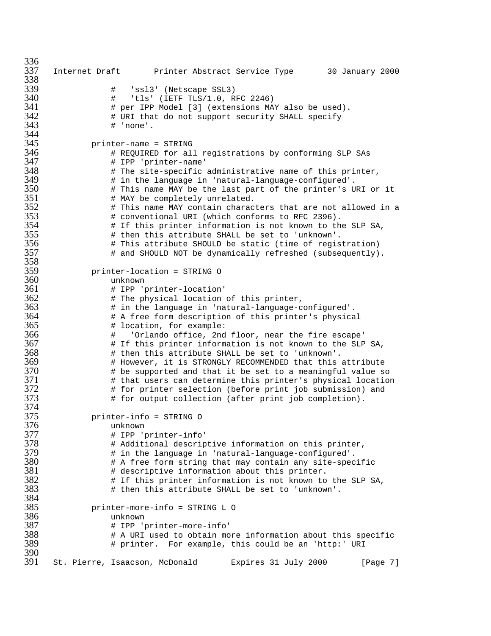336<br>337 Internet Draft Printer Abstract Service Type 30 January 2000 338<br>339 # 'ssl3' (Netscape SSL3) # 'tls' (IETF TLS/1.0, RFC 2246) # per IPP Model [3] (extensions MAY also be used). # URI that do not support security SHALL specify # 'none'. 344<br>345 printer-name = STRING # REQUIRED for all registrations by conforming SLP SAs # IPP 'printer-name' # The site-specific administrative name of this printer, # in the language in 'natural-language-configured'. # This name MAY be the last part of the printer's URI or it # MAY be completely unrelated. # This name MAY contain characters that are not allowed in a # conventional URI (which conforms to RFC 2396). # If this printer information is not known to the SLP SA, # then this attribute SHALL be set to 'unknown'. # This attribute SHOULD be static (time of registration) # and SHOULD NOT be dynamically refreshed (subsequently). 358<br>359 printer-location = STRING O unknown # IPP 'printer-location' # The physical location of this printer, # in the language in 'natural-language-configured'. # A free form description of this printer's physical # location, for example: # 'Orlando office, 2nd floor, near the fire escape' # If this printer information is not known to the SLP SA, # then this attribute SHALL be set to 'unknown'. # However, it is STRONGLY RECOMMENDED that this attribute # be supported and that it be set to a meaningful value so # that users can determine this printer's physical location  $\qquad$  # for printer selection (before print job submission) and<br> $373$   $\qquad$  # for output collection (after print job completion). # for output collection (after print job completion). 374<br>375 printer-info = STRING O unknown # IPP 'printer-info' # Additional descriptive information on this printer, # in the language in 'natural-language-configured'. # A free form string that may contain any site-specific # descriptive information about this printer.  $\qquad$  # If this printer information is not known to the SLP SA,  $383$   $\qquad$  # then this attribute SHALL be set to 'unknown'. # then this attribute SHALL be set to 'unknown'. 384<br>385 printer-more-info = STRING L O unknown # IPP 'printer-more-info'  $\qquad$  # A URI used to obtain more information about this specific<br> $389$   $\qquad$  # printer. For example, this could be an 'http:' URI # printer. For example, this could be an 'http:' URI 390<br>391 St. Pierre, Isaacson, McDonald Expires 31 July 2000 [Page 7]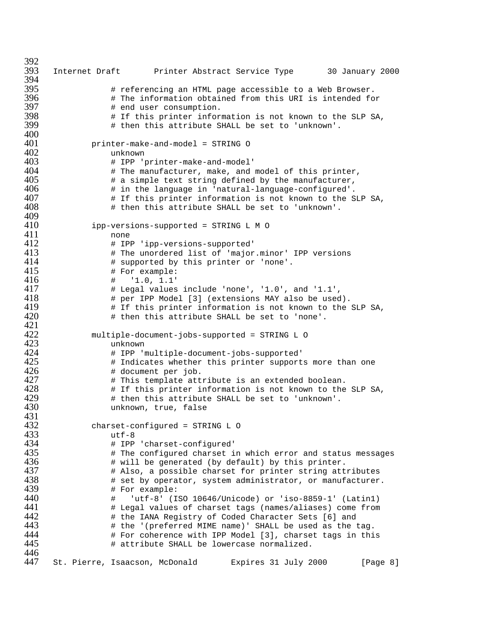392<br>393 393 Internet Draft Printer Abstract Service Type 30 January 2000 394<br>395 395 # referencing an HTML page accessible to a Web Browser. 396 # The information obtained from this URI is intended for 397 # end user consumption.  $398$   $\qquad$  # If this printer information is not known to the SLP SA,<br> $399$   $\qquad$  # then this attribute SHALL be set to 'unknown'. # then this attribute SHALL be set to 'unknown'.  $\frac{400}{401}$ 401 printer-make-and-model = STRING O<br>402 unknown 402 unknown<br>403 # IPP '1 # IPP 'printer-make-and-model' 404 **#** The manufacturer, make, and model of this printer, 405 # a simple text string defined by the manufacturer, 406  $\#$  in the language in 'natural-language-configured'.<br>407  $\#$  If this printer information is not known to the S 407  $\#$  If this printer information is not known to the SLP SA,<br>408  $\#$  then this attribute SHALL be set to 'unknown'. # then this attribute SHALL be set to 'unknown'. 409<br>410 410 ipp-versions-supported = STRING L M O<br>411 mone 411 none<br>412 # IPI 412 # IPP 'ipp-versions-supported'<br>413 # The unordered list of 'major 413  $\#$  The unordered list of 'major.minor' IPP versions<br>414  $\#$  supported by this printer or 'none'. 414 # supported by this printer or 'none'. 415 # For example:<br>416 # '1.0, 1.1' 416 # '1.0, 1.1' 417 # Legal values include 'none', '1.0', and '1.1', 418 # per IPP Model [3] (extensions MAY also be used). 419  $\#$  If this printer information is not known to the SLP SA,<br>420  $\#$  then this attribute SHALL be set to 'none'. # then this attribute SHALL be set to 'none'. 421 422 multiple-document-jobs-supported = STRING L O 423 unknown 424 # IPP 'multiple-document-jobs-supported' 425  $+$  Indicates whether this printer supports more than one<br>426  $+$  document per job. 426 # document per job. 427 # This template attribute is an extended boolean. 428 # If this printer information is not known to the SLP SA, 429 # then this attribute SHALL be set to 'unknown'. unknown, true, false 431<br>432 432 charset-configured = STRING L O<br>433 utf-8 433 utf-8<br>434 # IPP 434 # IPP 'charset-configured'  $435$   $\qquad$  # The configured charset in which error and status messages<br> $436$   $\qquad$  # will be generated (by default) by this printer. 436  $\quad$  # will be generated (by default) by this printer.<br>437  $\quad$  # Also, a possible charset for printer string att: 437 # Also, a possible charset for printer string attributes 438  $+$  set by operator, system administrator, or manufacturer.<br>439  $+$  For example:  $439$   $\text{#}$  For example:<br> $440$   $\text{#}$   $\text{``}$ utf-8' (I 440 # 'utf-8' (ISO 10646/Unicode) or 'iso-8859-1' (Latin1) 441 # Legal values of charset tags (names/aliases) come from 442 # the IANA Registry of Coded Character Sets [6] and 443 # the '(preferred MIME name)' SHALL be used as the tag. 444 # For coherence with IPP Model [3], charset tags in this # attribute SHALL be lowercase normalized. 446<br>447 St. Pierre, Isaacson, McDonald Expires 31 July 2000 [Page 8]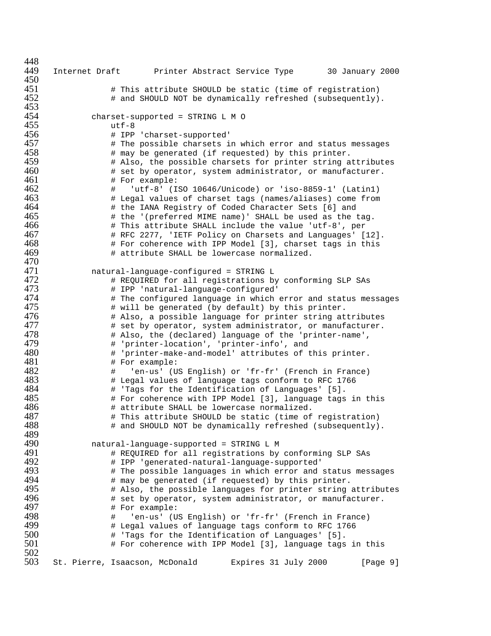448<br>449 Internet Draft Printer Abstract Service Type 30 January 2000  $\#$  This attribute SHOULD be static (time of registration)<br>452  $\#$  and SHOULD NOT be dynamically refreshed (subsequently) # and SHOULD NOT be dynamically refreshed (subsequently). 453<br>454 454 charset-supported = STRING L M O<br>455 utf-8 utf-8<br> $456$   $\text{# IPP}$  # IPP 'charset-supported'  $\quad$  # The possible charsets in which error and status messages<br>458  $\quad$  # may be generated (if requested) by this printer.  $\qquad$  # may be generated (if requested) by this printer.<br>459  $\qquad$  # Also, the possible charsets for printer string a # Also, the possible charsets for printer string attributes # set by operator, system administrator, or manufacturer. 461 # For example: # 'utf-8' (ISO 10646/Unicode) or 'iso-8859-1' (Latin1) # Legal values of charset tags (names/aliases) come from # the IANA Registry of Coded Character Sets [6] and # the '(preferred MIME name)' SHALL be used as the tag. # This attribute SHALL include the value 'utf-8', per # RFC 2277, 'IETF Policy on Charsets and Languages' [12]. # For coherence with IPP Model [3], charset tags in this # attribute SHALL be lowercase normalized. 470<br>471 natural-language-configured = STRING L # REQUIRED for all registrations by conforming SLP SAs # IPP 'natural-language-configured' # The configured language in which error and status messages # will be generated (by default) by this printer. # Also, a possible language for printer string attributes # set by operator, system administrator, or manufacturer. # Also, the (declared) language of the 'printer-name', # 'printer-location', 'printer-info', and # 'printer-make-and-model' attributes of this printer. 481 # For example:<br>482 # 'en-us' (U # 'en-us' (US English) or 'fr-fr' (French in France) # Legal values of language tags conform to RFC 1766 # 'Tags for the Identification of Languages' [5]. # For coherence with IPP Model [3], language tags in this # attribute SHALL be lowercase normalized. # This attribute SHOULD be static (time of registration) # and SHOULD NOT be dynamically refreshed (subsequently). 489<br>490 natural-language-supported = STRING L M # REQUIRED for all registrations by conforming SLP SAs # IPP 'generated-natural-language-supported' # The possible languages in which error and status messages # may be generated (if requested) by this printer.  $\#$  Also, the possible languages for printer string attributes<br>496  $\#$  set by operator, system administrator, or manufacturer. # set by operator, system administrator, or manufacturer. # For example: # 'en-us' (US English) or 'fr-fr' (French in France) # Legal values of language tags conform to RFC 1766 # 'Tags for the Identification of Languages' [5]. # For coherence with IPP Model [3], language tags in this 502<br>503 St. Pierre, Isaacson, McDonald Expires 31 July 2000 [Page 9]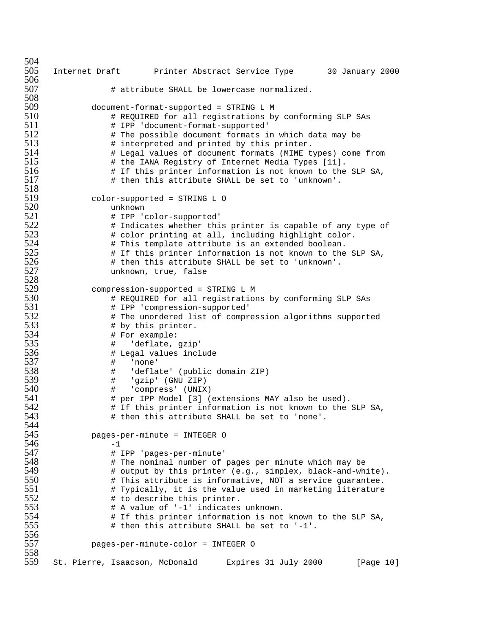```
504<br>505
     505 Internet Draft Printer Abstract Service Type 30 January 2000
506<br>507
                # attribute SHALL be lowercase normalized.
508
509 document-format-supported = STRING L M
510 # REQUIRED for all registrations by conforming SLP SAs
511 # IPP 'document-format-supported'
512 # The possible document formats in which data may be
513 # interpreted and printed by this printer.
                # Legal values of document formats (MIME types) come from
515 # the IANA Registry of Internet Media Types [11].<br>516 # If this printer information is not known to the
                # If this printer information is not known to the SLP SA,
517 # then this attribute SHALL be set to 'unknown'.
518<br>519
519 color-supported = STRING L O
520 unknown
521 # IPP 'color-supported'
522 # Indicates whether this printer is capable of any type of 523 # color printing at all, including highlight color.
523 # color printing at all, including highlight color.
524 # This template attribute is an extended boolean.
525 \qquad # If this printer information is not known to the SLP SA,<br>526 \qquad # then this attribute SHALL be set to 'unknown'.
526 # then this attribute SHALL be set to 'unknown'.
                unknown, true, false
528<br>529
529 compression-supported = STRING L M
530 # REQUIRED for all registrations by conforming SLP SAs
531 # IPP 'compression-supported'
532 # The unordered list of compression algorithms supported<br>533 # by this printer.
533 # by this printer.
534 # For example:
535 # 'deflate, gzip'
536 # Legal values include
537 # 'none'
538 # 'deflate' (public domain ZIP)<br>539 # 'qzip' (GNU ZIP)
539 # 'gzip' (GNU ZIP)
540 # 'compress' (UNIX)
541 # per IPP Model [3] (extensions MAY also be used).
542 # If this printer information is not known to the SLP SA,
                # then this attribute SHALL be set to 'none'.
544
545 pages-per-minute = INTEGER O
546 -1<br>547 +1547 # IPP 'pages-per-minute'
548 # The nominal number of pages per minute which may be
549 # output by this printer (e.g., simplex, black-and-white).
550 # This attribute is informative, NOT a service guarantee.
551 \# Typically, it is the value used in marketing literature<br>552 \# to describe this printer.
552 # to describe this printer.
553 # A value of '-1' indicates unknown.
554 # If this printer information is not known to the SLP SA,
                # then this attribute SHALL be set to '-1'.
556<br>557
            557 pages-per-minute-color = INTEGER O
558<br>559
     559 St. Pierre, Isaacson, McDonald Expires 31 July 2000 [Page 10]
```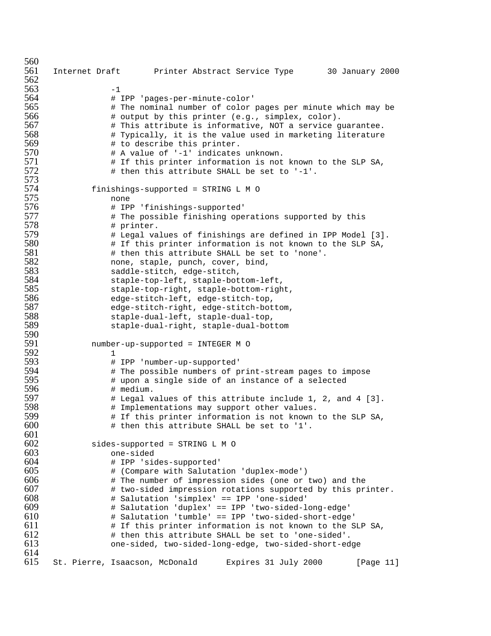```
560<br>561
      561 Internet Draft Printer Abstract Service Type 30 January 2000
562
563 -1<br>564 *564 # IPP 'pages-per-minute-color'
565 # The nominal number of color pages per minute which may be
566 # output by this printer (e.g., simplex, color).
567 # This attribute is informative, NOT a service guarantee.
568 \# Typically, it is the value used in marketing literature<br>569 \# to describe this printer.
569 # to describe this printer.
                  # A value of '-1' indicates unknown.
571 Example 12 # If this printer information is not known to the SLP SA,
572 \text{#} then this attribute SHALL be set to '-1'.
573
574 finishings-supported = STRING L M O<br>575 none
575 none<br>576 # IP:
576 # IPP 'finishings-supported'
577 # The possible finishing operations supported by this
578 # printer.
579 # Legal values of finishings are defined in IPP Model [3].
580 # If this printer information is not known to the SLP SA,
581 # then this attribute SHALL be set to 'none'.
582 none, staple, punch, cover, bind,
583 saddle-stitch, edge-stitch,
584 staple-top-left, staple-bottom-left,
585 staple-top-right, staple-bottom-right,
586 edge-stitch-left, edge-stitch-top,
587 edge-stitch-right, edge-stitch-bottom,<br>588 staple-dual-left, staple-dual-top,
588 staple-dual-left, staple-dual-top,
                  staple-dual-right, staple-dual-bottom
590<br>591
             591 number-up-supported = INTEGER M O
592 1<br>593 \frac{1}{1}593 # IPP 'number-up-supported'
594 # The possible numbers of print-stream pages to impose
595 # upon a single side of an instance of a selected
596 # medium.
597 # Legal values of this attribute include 1, 2, and 4 [3].
598 # Implementations may support other values.
                  # If this printer information is not known to the SLP SA,
600 \qquad \qquad \qquad \qquad \qquad \qquad \qquad \qquad \qquad \qquad \qquad \qquad \qquad \qquad \qquad \qquad \qquad \qquad \qquad \qquad \qquad \qquad \qquad \qquad \qquad \qquad \qquad \qquad \qquad \qquad \qquad \qquad \qquad \qquad \qquad \qquad601<br>602
              sides-supported = STRING L M O
603 one-sided
604 # IPP 'sides-supported'
605 # (Compare with Salutation 'duplex-mode')
606 # The number of impression sides (one or two) and the 607 # two-sided impression rotations supported by this pr
607 # two-sided impression rotations supported by this printer.<br>608 # Salutation 'simplex' == IPP 'one-sided'
608 # Salutation 'simplex' == IPP 'one-sided'
                  # Salutation 'duplex' == IPP 'two-sided-long-edge'
610 # Salutation 'tumble' == IPP 'two-sided-short-edge'
611 + If this printer information is not known to the SLP SA,<br>612 + then this attribute SHALL be set to 'one-sided'.
612 # then this attribute SHALL be set to 'one-sided'.
                  613 one-sided, two-sided-long-edge, two-sided-short-edge
614<br>615615 St. Pierre, Isaacson, McDonald Expires 31 July 2000 [Page 11]
```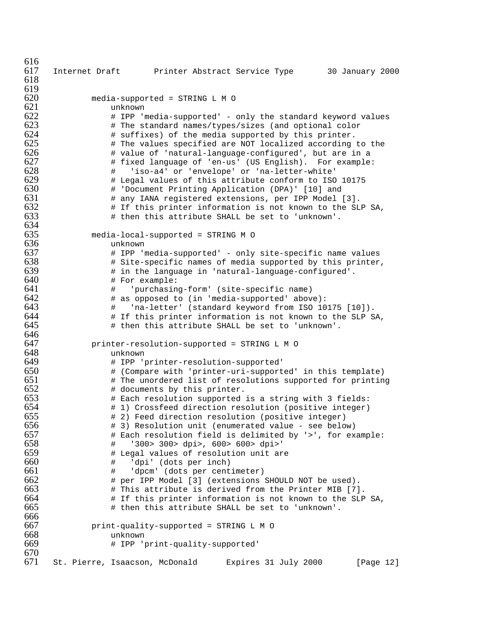| 616        |                                                              |                                      |                                                                                                                  |           |
|------------|--------------------------------------------------------------|--------------------------------------|------------------------------------------------------------------------------------------------------------------|-----------|
| 617        | Internet Draft Frinter Abstract Service Type 30 January 2000 |                                      |                                                                                                                  |           |
| 618        |                                                              |                                      |                                                                                                                  |           |
| 619        |                                                              |                                      |                                                                                                                  |           |
| 620        | media-supported = STRING L M O                               |                                      |                                                                                                                  |           |
| 621        | unknown                                                      |                                      |                                                                                                                  |           |
| 622<br>623 |                                                              |                                      | # IPP 'media-supported' - only the standard keyword values                                                       |           |
| 624        |                                                              |                                      | # The standard names/types/sizes (and optional color                                                             |           |
| 625        |                                                              |                                      | # suffixes) of the media supported by this printer.<br># The values specified are NOT localized according to the |           |
| 626        |                                                              |                                      | # value of 'natural-language-configured', but are in a                                                           |           |
| 627        |                                                              |                                      | # fixed language of 'en-us' (US English). For example:                                                           |           |
| 628        | #                                                            |                                      | 'iso-a4' or 'envelope' or 'na-letter-white'                                                                      |           |
| 629        |                                                              |                                      | # Legal values of this attribute conform to ISO 10175                                                            |           |
| 630        |                                                              |                                      | # 'Document Printing Application (DPA)' [10] and                                                                 |           |
| 631        |                                                              |                                      | # any IANA registered extensions, per IPP Model [3].                                                             |           |
| 632        |                                                              |                                      | # If this printer information is not known to the SLP SA,                                                        |           |
| 633        |                                                              |                                      | # then this attribute SHALL be set to 'unknown'.                                                                 |           |
| 634        |                                                              |                                      |                                                                                                                  |           |
| 635        | media-local-supported = STRING M O                           |                                      |                                                                                                                  |           |
| 636        | unknown                                                      |                                      |                                                                                                                  |           |
| 637        |                                                              |                                      | # IPP 'media-supported' - only site-specific name values                                                         |           |
| 638        |                                                              |                                      | # Site-specific names of media supported by this printer,                                                        |           |
| 639        |                                                              |                                      | # in the language in 'natural-language-configured'.                                                              |           |
| 640        | # For example:                                               |                                      |                                                                                                                  |           |
| 641<br>642 | $\#$                                                         |                                      | 'purchasing-form' (site-specific name)                                                                           |           |
| 643        |                                                              |                                      | # as opposed to (in 'media-supported' above):                                                                    |           |
| 644        | #                                                            |                                      | 'na-letter' (standard keyword from ISO 10175 [10]).<br># If this printer information is not known to the SLP SA, |           |
| 645        |                                                              |                                      | # then this attribute SHALL be set to 'unknown'.                                                                 |           |
| 646        |                                                              |                                      |                                                                                                                  |           |
| 647        | printer-resolution-supported = STRING L M O                  |                                      |                                                                                                                  |           |
| 648        | unknown                                                      |                                      |                                                                                                                  |           |
| 649        |                                                              | # IPP 'printer-resolution-supported' |                                                                                                                  |           |
| 650        |                                                              |                                      | # (Compare with 'printer-uri-supported' in this template)                                                        |           |
| 651        |                                                              |                                      | # The unordered list of resolutions supported for printing                                                       |           |
| 652        |                                                              | # documents by this printer.         |                                                                                                                  |           |
| 653        |                                                              |                                      | # Each resolution supported is a string with 3 fields:                                                           |           |
| 654        |                                                              |                                      | # 1) Crossfeed direction resolution (positive integer)                                                           |           |
| 655        |                                                              |                                      | # 2) Feed direction resolution (positive integer)                                                                |           |
| 656        |                                                              |                                      | # 3) Resolution unit (enumerated value - see below)                                                              |           |
| 657<br>658 |                                                              |                                      | # Each resolution field is delimited by '>', for example:                                                        |           |
| 659        | #                                                            |                                      | '300> 300> dpi>, 600> 600> dpi>'                                                                                 |           |
| 660        | #<br>#                                                       | 'dpi' (dots per inch)                | Legal values of resolution unit are                                                                              |           |
| 661        | #                                                            | 'dpcm' (dots per centimeter)         |                                                                                                                  |           |
| 662        |                                                              |                                      | # per IPP Model [3] (extensions SHOULD NOT be used).                                                             |           |
| 663        |                                                              |                                      | # This attribute is derived from the Printer MIB [7].                                                            |           |
| 664        |                                                              |                                      | # If this printer information is not known to the SLP SA,                                                        |           |
| 665        |                                                              |                                      | # then this attribute SHALL be set to 'unknown'.                                                                 |           |
| 666        |                                                              |                                      |                                                                                                                  |           |
| 667        | print-quality-supported = STRING L M O                       |                                      |                                                                                                                  |           |
| 668        | unknown                                                      |                                      |                                                                                                                  |           |
| 669        |                                                              | # IPP 'print-quality-supported'      |                                                                                                                  |           |
| 670        |                                                              |                                      |                                                                                                                  |           |
| 671        | St. Pierre, Isaacson, McDonald                               |                                      | Expires 31 July 2000                                                                                             | [Page 12] |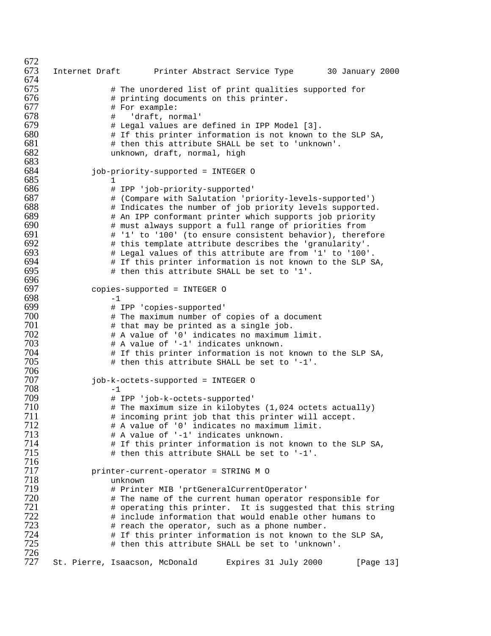672<br>673 Internet Draft Printer Abstract Service Type 30 January 2000 674<br>675  $\qquad$  # The unordered list of print qualities supported for  $676$   $\qquad$  # printing documents on this printer.<br> $677$   $\qquad$  # For example: # For example: # 'draft, normal' # Legal values are defined in IPP Model [3].  $+$  If this printer information is not known to the SLP SA,<br>681  $+$  then this attribute SHALL be set to 'unknown'.  $\#$  then this attribute SHALL be set to 'unknown'.<br> $682$  unknown, draft, normal, high unknown, draft, normal, high job-priority-supported = INTEGER O 1 # IPP 'job-priority-supported' # (Compare with Salutation 'priority-levels-supported') # Indicates the number of job priority levels supported. # An IPP conformant printer which supports job priority **Exay # must always support a full range of priorities from**<br>691 **H** '1' to '100' (to ensure consistent behavior), there  $\#$  '1' to '100' (to ensure consistent behavior), therefore<br> $692$   $\#$  this template attribute describes the 'granularity'.  $\qquad$  # this template attribute describes the 'granularity'.<br> $693$   $\qquad$  # Legal values of this attribute are from '1' to '100' # Legal values of this attribute are from '1' to '100'. # If this printer information is not known to the SLP SA, # then this attribute SHALL be set to '1'. 696<br>697 copies-supported = INTEGER O  $-1$ <br> $699$   $*$  # IPP 'copies-supported' # The maximum number of copies of a document # that may be printed as a single job. # A value of '0' indicates no maximum limit. # A value of '-1' indicates unknown.  $\qquad$  # If this printer information is not known to the SLP SA,<br> $705$   $\qquad$  # then this attribute SHALL be set to '-1'. # then this attribute SHALL be set to '-1'. job-k-octets-supported = INTEGER O  $-1$ <br> $709$   $\qquad \qquad \frac{1}{1}$  # IPP 'job-k-octets-supported'  $\#$  The maximum size in kilobytes (1,024 octets actually)<br> $711$   $\#$  incoming print job that this printer will accept. # incoming print job that this printer will accept.<br> $712$  # A value of '0' indicates no maximum limit. # A value of '0' indicates no maximum limit. # A value of '-1' indicates unknown.  $\#$  If this printer information is not known to the SLP SA,<br> $715$   $\#$  then this attribute SHALL be set to '-1'. # then this attribute SHALL be set to '-1'. printer-current-operator = STRING M O 718 unknown<br>719 # Print # Printer MIB 'prtGeneralCurrentOperator' # The name of the current human operator responsible for  $\qquad$  # operating this printer. It is suggested that this string<br> $722$   $\qquad$  # include information that would enable other humans to  $\qquad$  # include information that would enable other humans to  $723$   $\qquad$  # reach the operator, such as a phone number. # reach the operator, such as a phone number.  $\qquad$  # If this printer information is not known to the SLP SA,<br> $725$   $\qquad$  # then this attribute SHALL be set to 'unknown'. # then this attribute SHALL be set to 'unknown'. St. Pierre, Isaacson, McDonald Expires 31 July 2000 [Page 13]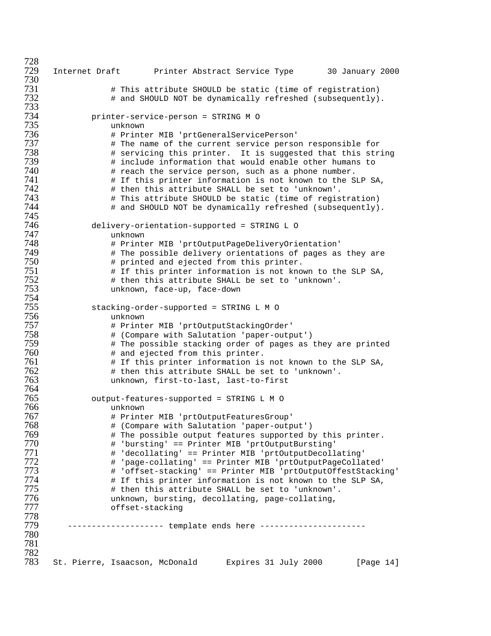Internet Draft Printer Abstract Service Type 30 January 2000 # This attribute SHOULD be static (time of registration) # and SHOULD NOT be dynamically refreshed (subsequently). printer-service-person = STRING M O unknown # Printer MIB 'prtGeneralServicePerson' # The name of the current service person responsible for  $\qquad$  # servicing this printer. It is suggested that this string<br> $739$   $\qquad$  # include information that would enable other humans to # include information that would enable other humans to **#** reach the service person, such as a phone number. **#** If this printer information is not known to the SLP SA, # then this attribute SHALL be set to 'unknown'. # This attribute SHOULD be static (time of registration) # and SHOULD NOT be dynamically refreshed (subsequently). 745<br>746 delivery-orientation-supported = STRING L O unknown # Printer MIB 'prtOutputPageDeliveryOrientation'  $\qquad$  # The possible delivery orientations of pages as they are<br> $750$   $\qquad$  # printed and ejected from this printer. # printed and ejected from this printer.  $\qquad$  # If this printer information is not known to the SLP SA,  $752$   $\qquad$  # then this attribute SHALL be set to 'unknown'. # then this attribute SHALL be set to 'unknown'. unknown, face-up, face-down stacking-order-supported = STRINGLMO unknown # Printer MIB 'prtOutputStackingOrder' # (Compare with Salutation 'paper-output')  $\qquad$  # The possible stacking order of pages as they are printed  $760$   $\qquad$  # and ejected from this printer. # and ejected from this printer. # If this printer information is not known to the SLP SA, # then this attribute SHALL be set to 'unknown'. unknown, first-to-last, last-to-first output-features-supported = STRINGLMO unknown # Printer MIB 'prtOutputFeaturesGroup' # (Compare with Salutation 'paper-output') # The possible output features supported by this printer. # 'bursting' == Printer MIB 'prtOutputBursting' # 'decollating' == Printer MIB 'prtOutputDecollating' # 'page-collating' == Printer MIB 'prtOutputPageCollated' # 'offset-stacking' == Printer MIB 'prtOutputOffestStacking'  $\qquad$   $\qquad$   $\qquad$   $\qquad$  If this printer information is not known to the SLP SA,  $775$   $\qquad$   $\qquad$   $\qquad$   $\qquad$   $\qquad$   $\qquad$   $\qquad$   $\qquad$   $\qquad$   $\qquad$   $\qquad$   $\qquad$   $\qquad$   $\qquad$   $\qquad$   $\qquad$   $\qquad$   $\qquad$   $\qquad$   $\qquad$   $\qquad$   $\q$  # then this attribute SHALL be set to 'unknown'. unknown, bursting, decollating, page-collating, offset-stacking 778<br>779 -------------------- template ends here ----------------------- 782<br>783 St. Pierre, Isaacson, McDonald Expires 31 July 2000 [Page 14]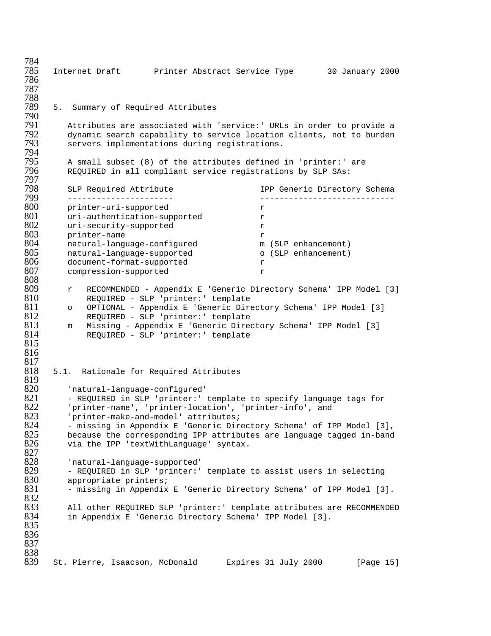784 Internet Draft Printer Abstract Service Type 30 January 2000 786 787 788 5. Summary of Required Attributes 790 791 Attributes are associated with 'service:' URLs in order to provide a 792 dynamic search capability to service location clients, not to burden<br>793 servers implementations during registrations. servers implementations during registrations. 794<br>795 795 A small subset (8) of the attributes defined in 'printer:' are REQUIRED in all compliant service registrations by SLP SAs: 797 798 SLP Required Attribute In the IPP Generic Directory Schema 799 ---------------------- ---------------------------- 800 printer-uri-supported r<br>801 uri-authentication-supported r 801 uri-authentication-supported r<br>802 uri-security-supported r 802 uri-security-supported r<br>803 printer-name r 803 printer-name r 804 natural-language-configured m (SLP enhancement) 805 natural-language-supported o (SLP enhancement) 806 document-format-supported r 807 compression-supported r 808 809 r RECOMMENDED - Appendix E 'Generic Directory Schema' IPP Model [3] 810 REQUIRED - SLP 'printer:' template 811 o OPTIONAL - Appendix E 'Generic Directory Schema' IPP Model [3] 812 REQUIRED - SLP 'printer:' template<br>813 m Missing - Appendix E 'Generic Direo 813 m Missing - Appendix E 'Generic Directory Schema' IPP Model [3]<br>814 REQUIRED - SLP 'printer:' template REQUIRED - SLP 'printer:' template 815 816  $\frac{817}{818}$ 5.1. Rationale for Required Attributes 819<br>820 820 'natural-language-configured' 821 - REQUIRED in SLP 'printer:' template to specify language tags for<br>822 - 'printer-name', 'printer-location', 'printer-info', and 822 'printer-name', 'printer-location', 'printer-info', and<br>823 'orinter-make-and-model' attributes; 823 'printer-make-and-model' attributes; 824 - missing in Appendix E 'Generic Directory Schema' of IPP Model [3],<br>825 - because the corresponding IPP attributes are language tagged in-band  $825$  because the corresponding IPP attributes are language tagged in-band  $826$  via the IPP 'textWithLanguage' syntax. via the IPP 'textWithLanguage' syntax. 827<br>828 828 'natural-language-supported' 829 - REQUIRED in SLP 'printer:' template to assist users in selecting<br>830 - appropriate printers; 830 appropriate printers;<br>831 – missing in Appendix - missing in Appendix E 'Generic Directory Schema' of IPP Model [3]. 832<br>833 833 All other REQUIRED SLP 'printer:' template attributes are RECOMMENDED in Appendix E 'Generic Directory Schema' IPP Model [3]. 835 836 837 838<br>839 839 St. Pierre, Isaacson, McDonald Expires 31 July 2000 [Page 15]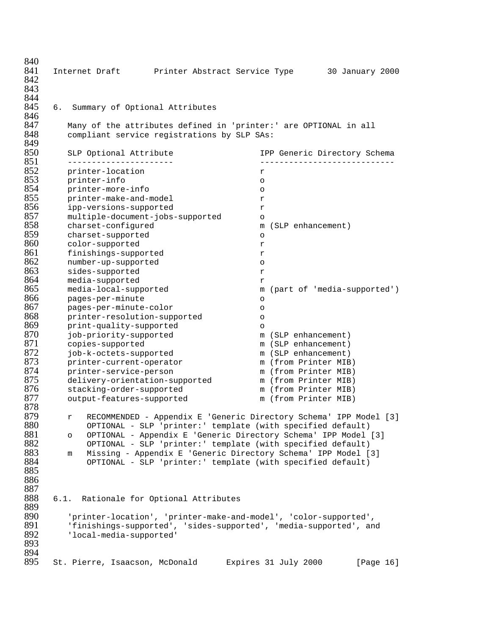| 840        |                                                                     |                                                                |         |                      |                              |
|------------|---------------------------------------------------------------------|----------------------------------------------------------------|---------|----------------------|------------------------------|
| 841        | Internet Draft                                                      | Printer Abstract Service Type                                  |         |                      | 30 January 2000              |
| 842        |                                                                     |                                                                |         |                      |                              |
| 843        |                                                                     |                                                                |         |                      |                              |
| 844        |                                                                     |                                                                |         |                      |                              |
| 845        | 6.<br>Summary of Optional Attributes                                |                                                                |         |                      |                              |
| 846        |                                                                     |                                                                |         |                      |                              |
| 847        | Many of the attributes defined in 'printer:' are OPTIONAL in all    |                                                                |         |                      |                              |
| 848        | compliant service registrations by SLP SAs:                         |                                                                |         |                      |                              |
| 849        |                                                                     |                                                                |         |                      |                              |
| 850        | SLP Optional Attribute                                              |                                                                |         |                      | IPP Generic Directory Schema |
| 851        | _______________________                                             |                                                                |         |                      | ____________________________ |
| 852        | printer-location                                                    |                                                                | r       |                      |                              |
| 853        | printer-info                                                        |                                                                | $\circ$ |                      |                              |
| 854        | printer-more-info                                                   |                                                                | $\circ$ |                      |                              |
| 855        | printer-make-and-model                                              |                                                                | r       |                      |                              |
| 856        | ipp-versions-supported                                              |                                                                | r       |                      |                              |
| 857        | multiple-document-jobs-supported                                    |                                                                | $\circ$ |                      |                              |
| 858        | charset-configured                                                  |                                                                | m       | (SLP enhancement)    |                              |
| 859        | charset-supported                                                   |                                                                | $\circ$ |                      |                              |
| 860        | color-supported                                                     |                                                                | r       |                      |                              |
| 861        | finishings-supported                                                |                                                                | r       |                      |                              |
| 862        | number-up-supported                                                 |                                                                | $\circ$ |                      |                              |
| 863        | sides-supported                                                     |                                                                | r       |                      |                              |
| 864        | media-supported                                                     |                                                                | r       |                      |                              |
| 865        | media-local-supported                                               |                                                                | m       |                      | (part of 'media-supported')  |
| 866        | pages-per-minute                                                    |                                                                | O       |                      |                              |
| 867        | pages-per-minute-color                                              |                                                                | $\circ$ |                      |                              |
| 868        | printer-resolution-supported                                        |                                                                | $\circ$ |                      |                              |
| 869        | print-quality-supported                                             |                                                                | $\circ$ |                      |                              |
| 870        | job-priority-supported                                              |                                                                |         | m (SLP enhancement)  |                              |
| 871        | copies-supported                                                    |                                                                |         | m (SLP enhancement)  |                              |
| 872        | job-k-octets-supported                                              |                                                                |         | m (SLP enhancement)  |                              |
| 873        | printer-current-operator                                            |                                                                |         | m (from Printer MIB) |                              |
| 874        | printer-service-person                                              |                                                                |         | m (from Printer MIB) |                              |
| 875        | delivery-orientation-supported                                      |                                                                |         | m (from Printer MIB) |                              |
| 876        | stacking-order-supported                                            |                                                                |         | m (from Printer MIB) |                              |
| 877        | output-features-supported                                           |                                                                |         | m (from Printer MIB) |                              |
| 878        |                                                                     |                                                                |         |                      |                              |
| 879<br>880 | r RECOMMENDED - Appendix E 'Generic Directory Schema' IPP Model [3] |                                                                |         |                      |                              |
| 881        |                                                                     | OPTIONAL - SLP 'printer:' template (with specified default)    |         |                      |                              |
| 882        | $\circ$                                                             | OPTIONAL - Appendix E 'Generic Directory Schema' IPP Model [3] |         |                      |                              |
| 883        |                                                                     | OPTIONAL - SLP 'printer:' template (with specified default)    |         |                      |                              |
| 884        | m                                                                   | Missing - Appendix E 'Generic Directory Schema' IPP Model [3]  |         |                      |                              |
| 885        |                                                                     | OPTIONAL - SLP 'printer:' template (with specified default)    |         |                      |                              |
| 886        |                                                                     |                                                                |         |                      |                              |
| 887        |                                                                     |                                                                |         |                      |                              |
| 888        | Rationale for Optional Attributes<br>6.1.                           |                                                                |         |                      |                              |
| 889        |                                                                     |                                                                |         |                      |                              |
| 890        | 'printer-location', 'printer-make-and-model', 'color-supported',    |                                                                |         |                      |                              |
| 891        | 'finishings-supported', 'sides-supported', 'media-supported', and   |                                                                |         |                      |                              |
| 892        | 'local-media-supported'                                             |                                                                |         |                      |                              |
| 893        |                                                                     |                                                                |         |                      |                              |
| 894        |                                                                     |                                                                |         |                      |                              |
| 895        | St. Pierre, Isaacson, McDonald                                      |                                                                |         | Expires 31 July 2000 | [Page 16]                    |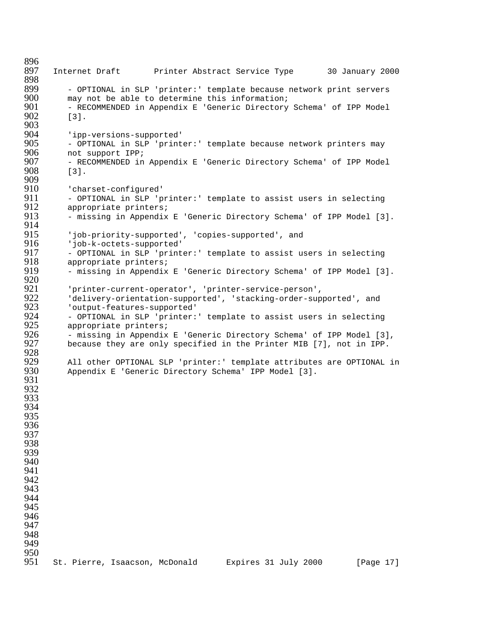896<br>897 897 Internet Draft Printer Abstract Service Type 30 January 2000 898<br>899 899 - OPTIONAL in SLP 'printer:' template because network print servers<br>900 - may not be able to determine this information; 900 may not be able to determine this information;<br>901 - RECOMMENDED in Appendix E 'Generic Directory 901 - RECOMMENDED in Appendix E 'Generic Directory Schema' of IPP Model<br>902 - 131.  $\lceil 3 \rceil$ . 903<br>904 904 'ipp-versions-supported' 905 - OPTIONAL in SLP 'printer:' template because network printers may<br>906 - not support IPP; 906 mot support IPP;<br>907 - RECOMMENDED in 907 - RECOMMENDED in Appendix E 'Generic Directory Schema' of IPP Model 908 [3]. 909 910 'charset-configured'<br>911 - OPTIONAL in SLP 'p 911 - OPTIONAL in SLP 'printer:' template to assist users in selecting<br>912 - appropriate printers; 912 appropriate printers;<br>913 - missing in Appendix - missing in Appendix E 'Generic Directory Schema' of IPP Model [3]. 914<br>915 915 'job-priority-supported', 'copies-supported', and<br>916 'iob-k-octets-supported' 916 'job-k-octets-supported'<br>917 - OPTIONAL in SLP 'print 917 - OPTIONAL in SLP 'printer:' template to assist users in selecting<br>918 - appropriate printers; 918 appropriate printers; - missing in Appendix E 'Generic Directory Schema' of IPP Model [3]. 920<br>921 921 'printer-current-operator', 'printer-service-person', 922 'delivery-orientation-supported', 'stacking-order-supported', and 923 'output-features-supported' 924 - OPTIONAL in SLP 'printer:' template to assist users in selecting<br>925 - appropriate printers; 925 appropriate printers;<br>926 - missing in Appendix 926 - missing in Appendix E 'Generic Directory Schema' of IPP Model [3],<br>927 because they are only specified in the Printer MIB [7], not in IPP. because they are only specified in the Printer MIB [7], not in IPP. 928<br>929 929 All other OPTIONAL SLP 'printer:' template attributes are OPTIONAL in<br>930 Appendix E 'Generic Directory Schema' IPP Model [3]. Appendix E 'Generic Directory Schema' IPP Model [3]. 931 932 933 934 935 936 937 938 939 940 941 942 943 944 945 946 947 948 949 950<br>951 951 St. Pierre, Isaacson, McDonald Expires 31 July 2000 [Page 17]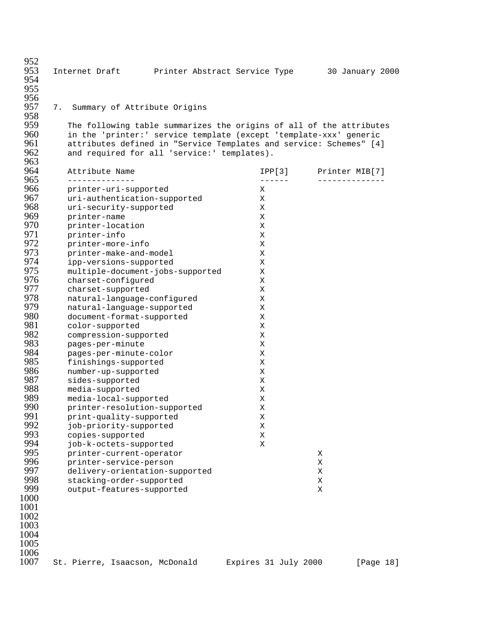| 952<br>953<br>954 | Internet Draft                                                                                                                          | Printer Abstract Service Type |                         | 30 January 2000               |
|-------------------|-----------------------------------------------------------------------------------------------------------------------------------------|-------------------------------|-------------------------|-------------------------------|
| 955               |                                                                                                                                         |                               |                         |                               |
| 956<br>957<br>958 | 7.<br>Summary of Attribute Origins                                                                                                      |                               |                         |                               |
| 959<br>960        | The following table summarizes the origins of all of the attributes                                                                     |                               |                         |                               |
| 961               | in the 'printer:' service template (except 'template-xxx' generic<br>attributes defined in "Service Templates and service: Schemes" [4] |                               |                         |                               |
| 962               | and required for all 'service:' templates).                                                                                             |                               |                         |                               |
| 963<br>964        | Attribute Name                                                                                                                          |                               |                         |                               |
| 965               | --------------                                                                                                                          |                               | IPP[3]<br>$- - - - - -$ | Printer MIB[7]<br>----------- |
| 966               | printer-uri-supported                                                                                                                   |                               | Χ                       |                               |
| 967               | uri-authentication-supported                                                                                                            |                               | X                       |                               |
| 968               | uri-security-supported                                                                                                                  |                               | Χ                       |                               |
| 969               | printer-name                                                                                                                            |                               | Χ                       |                               |
| 970               | printer-location                                                                                                                        |                               | Χ                       |                               |
| 971               | printer-info                                                                                                                            |                               | Χ                       |                               |
| 972               | printer-more-info                                                                                                                       |                               | Χ                       |                               |
| 973               | printer-make-and-model                                                                                                                  |                               | X                       |                               |
| 974<br>975        | ipp-versions-supported                                                                                                                  |                               | Χ                       |                               |
| 976               | multiple-document-jobs-supported<br>charset-configured                                                                                  |                               | Χ<br>Χ                  |                               |
| 977               | charset-supported                                                                                                                       |                               | Χ                       |                               |
| 978               | natural-language-configured                                                                                                             |                               | Χ                       |                               |
| 979               | natural-language-supported                                                                                                              |                               | Χ                       |                               |
| 980               | document-format-supported                                                                                                               |                               | Χ                       |                               |
| 981               | color-supported                                                                                                                         |                               | Χ                       |                               |
| 982               | compression-supported                                                                                                                   |                               | Χ                       |                               |
| 983               | pages-per-minute                                                                                                                        |                               | Χ                       |                               |
| 984               | pages-per-minute-color                                                                                                                  |                               | Χ                       |                               |
| 985               | finishings-supported                                                                                                                    |                               | Χ                       |                               |
| 986               | number-up-supported                                                                                                                     |                               | Χ                       |                               |
| 987               | sides-supported                                                                                                                         |                               | Χ                       |                               |
| 988               | media-supported                                                                                                                         |                               | Χ                       |                               |
| 989               | media-local-supported                                                                                                                   |                               | Χ                       |                               |
| 990               | printer-resolution-supported                                                                                                            |                               | Χ                       |                               |
| 991<br>992        | print-quality-supported                                                                                                                 |                               | Χ                       |                               |
| 993               | job-priority-supported<br>copies-supported                                                                                              |                               | Χ<br>Χ                  |                               |
| 994               | job-k-octets-supported                                                                                                                  |                               | X                       |                               |
| 995               | printer-current-operator                                                                                                                |                               |                         | Χ                             |
| 996               | printer-service-person                                                                                                                  |                               |                         | Χ                             |
| 997               | delivery-orientation-supported                                                                                                          |                               |                         | Χ                             |
| 998               | stacking-order-supported                                                                                                                |                               |                         | Χ                             |
| 999               | output-features-supported                                                                                                               |                               |                         | X                             |
| 1000              |                                                                                                                                         |                               |                         |                               |
| 1001              |                                                                                                                                         |                               |                         |                               |
| 1002              |                                                                                                                                         |                               |                         |                               |
| 1003              |                                                                                                                                         |                               |                         |                               |
| 1004              |                                                                                                                                         |                               |                         |                               |
| 1005              |                                                                                                                                         |                               |                         |                               |
| 1006              |                                                                                                                                         |                               |                         |                               |

St. Pierre, Isaacson, McDonald Expires 31 July 2000 [Page 18]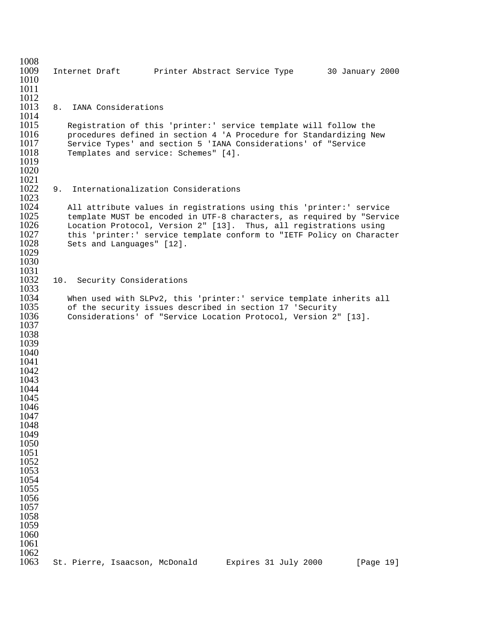1008<br>1009 1009 Internet Draft Printer Abstract Service Type 30 January 2000 1010 1011 1012<br>1013 8. IANA Considerations 1014<br>1015 1015 Registration of this 'printer:' service template will follow the<br>1016 Procedures defined in section 4 'A Procedure for Standardizing No 1016 procedures defined in section 4 'A Procedure for Standardizing New<br>1017 Service Types' and section 5 'IANA Considerations' of "Service 1017 Service Types' and section 5 'IANA Considerations' of "Service 1018 Templates and service: Schemes" [4]. Templates and service: Schemes" [4]. 1019 1020 1021<br>1022 9. Internationalization Considerations 1023<br>1024 1024 All attribute values in registrations using this 'printer:' service<br>1025 template MUST be encoded in UTF-8 characters, as required by "Serviq 1025 template MUST be encoded in UTF-8 characters, as required by "Service<br>1026 Location Protocol. Version 2" [13]. Thus. all registrations using 1026 Location Protocol, Version 2" [13]. Thus, all registrations using<br>1027 this 'printer:' service template conform to "IETF Policy on Charac 1027 this 'printer:' service template conform to "IETF Policy on Character 1028 Sets and Languages" [12]. Sets and Languages" [12]. 1029 1030 1031<br>1032 10. Security Considerations 1033<br>1034 1034 When used with SLPv2, this 'printer:' service template inherits all<br>1035 of the security issues described in section 17 'Security 1035 of the security issues described in section 17 'Security<br>1036 Considerations' of "Service Location Protocol. Version 2 Considerations' of "Service Location Protocol, Version 2" [13]. 1037 1038 1039 1040 1041 1042 1043 1044 1045 1046 1047 1048 1049 1050 1051 1052 1053 1054 1055 1056 1057 1058 1059 1060 1061 1062<br>1063 St. Pierre, Isaacson, McDonald Expires 31 July 2000 [Page 19]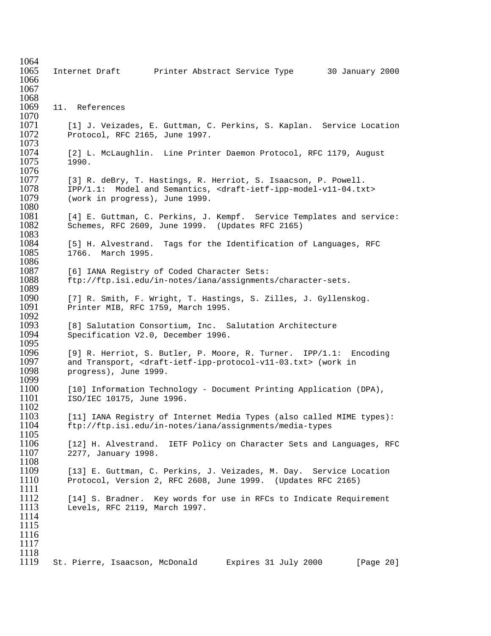1064<br>1065 1065 Internet Draft Printer Abstract Service Type 30 January 2000 1066 1067 1068<br>1069 11. References 1070<br>1071 1071 [1] J. Veizades, E. Guttman, C. Perkins, S. Kaplan. Service Location 1072 Protocol. RFC 2165. June 1997. Protocol, RFC 2165, June 1997. 1073<br>1074 [2] L. McLaughlin. Line Printer Daemon Protocol, RFC 1179, August 1075 1990. 1076<br>1077 [3] R. deBry, T. Hastings, R. Herriot, S. Isaacson, P. Powell. 1078 IPP/1.1: Model and Semantics, <draft-ietf-ipp-model-v11-04.txt><br>1079 (work in progress), June 1999. (work in progress), June 1999. 1080<br>1081 1081 [4] E. Guttman, C. Perkins, J. Kempf. Service Templates and service:<br>1082 Schemes, RFC 2609, June 1999. (Updates RFC 2165) Schemes, RFC 2609, June 1999. (Updates RFC 2165) 1083<br>1084 1084 [5] H. Alvestrand. Tags for the Identification of Languages, RFC<br>1085 1766. March 1995. 1766. March 1995. 1086<br>1087 1087 [6] IANA Registry of Coded Character Sets:<br>1088 ftp://ftp.isi.edu/in-notes/iana/assignment. 1088 ftp://ftp.isi.edu/in-notes/iana/assignments/character-sets. 1089<br>1090 1090 [7] R. Smith, F. Wright, T. Hastings, S. Zilles, J. Gyllenskog.<br>1091 Printer MIB, RFC 1759, March 1995. Printer MIB, RFC 1759, March 1995. 1092<br>1093 1093 [8] Salutation Consortium, Inc. Salutation Architecture<br>1094 Specification V2.0, December 1996. Specification V2.0, December 1996. 1095<br>1096 1096 [9] R. Herriot, S. Butler, P. Moore, R. Turner. IPP/1.1: Encoding 1097 and Transport, <draft-ietf-ipp-protocol-v11-03.txt> (work in 1098 progress), June 1999. progress), June 1999. 1099<br>1100 1100 [10] Information Technology - Document Printing Application (DPA),<br>1101 1SO/IEC 10175, June 1996. 1101 ISO/IEC 10175, June 1996.  $\frac{1102}{1103}$ 1103 [11] IANA Registry of Internet Media Types (also called MIME types):<br>1104 ftp://ftp.isi.edu/in-notes/iana/assignments/media-types 1104 ftp://ftp.isi.edu/in-notes/iana/assignments/media-types 1105<br>1106 [12] H. Alvestrand. IETF Policy on Character Sets and Languages, RFC 1107 2277, January 1998. 1108<br>1109 1109 [13] E. Guttman, C. Perkins, J. Veizades, M. Day. Service Location<br>1110 Protocol, Version 2, RFC 2608, June 1999. (Updates RFC 2165) Protocol, Version 2, RFC 2608, June 1999. (Updates RFC 2165) 1111<br>1112 1112 [14] S. Bradner. Key words for use in RFCs to Indicate Requirement<br>1113 Levels, RFC 2119, March 1997. Levels, RFC 2119, March 1997. 1114 1115 1116 1117 1118<br>1119 St. Pierre, Isaacson, McDonald Expires 31 July 2000 [Page 20]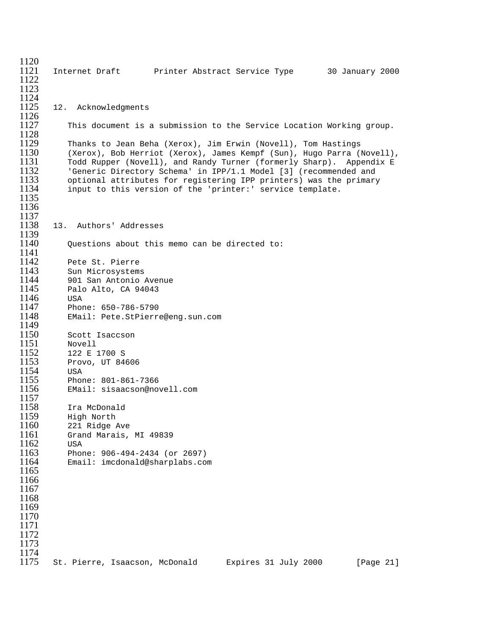| 1120         |                                               |                                                                       |                 |
|--------------|-----------------------------------------------|-----------------------------------------------------------------------|-----------------|
| 1121         |                                               |                                                                       | 30 January 2000 |
| 1122         |                                               |                                                                       |                 |
| 1123         |                                               |                                                                       |                 |
| 1124         |                                               |                                                                       |                 |
| 1125<br>1126 | 12. Acknowledgments                           |                                                                       |                 |
| 1127         |                                               | This document is a submission to the Service Location Working group.  |                 |
| 1128         |                                               |                                                                       |                 |
| 1129         |                                               | Thanks to Jean Beha (Xerox), Jim Erwin (Novell), Tom Hastings         |                 |
| 1130         |                                               | (Xerox), Bob Herriot (Xerox), James Kempf (Sun), Hugo Parra (Novell), |                 |
| 1131         |                                               | Todd Rupper (Novell), and Randy Turner (formerly Sharp). Appendix E   |                 |
| 1132         |                                               | 'Generic Directory Schema' in IPP/1.1 Model [3] (recommended and      |                 |
| 1133         |                                               | optional attributes for registering IPP printers) was the primary     |                 |
| 1134         |                                               | input to this version of the 'printer:' service template.             |                 |
| 1135         |                                               |                                                                       |                 |
| 1136<br>1137 |                                               |                                                                       |                 |
| 1138         | Authors' Addresses<br>13.                     |                                                                       |                 |
| 1139         |                                               |                                                                       |                 |
| 1140         | Ouestions about this memo can be directed to: |                                                                       |                 |
| 1141         |                                               |                                                                       |                 |
| 1142         | Pete St. Pierre                               |                                                                       |                 |
| 1143         | Sun Microsystems                              |                                                                       |                 |
| 1144         | 901 San Antonio Avenue                        |                                                                       |                 |
| 1145         | Palo Alto, CA 94043                           |                                                                       |                 |
| 1146         | USA                                           |                                                                       |                 |
| 1147         | Phone: 650-786-5790                           |                                                                       |                 |
| 1148<br>1149 | EMail: Pete.StPierre@eng.sun.com              |                                                                       |                 |
| 1150         | Scott Isaccson                                |                                                                       |                 |
| 1151         | Novell                                        |                                                                       |                 |
| 1152         | 122 E 1700 S                                  |                                                                       |                 |
| 1153         | Provo, UT 84606                               |                                                                       |                 |
| 1154         | USA                                           |                                                                       |                 |
| 1155         | Phone: 801-861-7366                           |                                                                       |                 |
| 1156         | EMail: sisaacson@novell.com                   |                                                                       |                 |
| 1157         |                                               |                                                                       |                 |
| 1158<br>1159 | Ira McDonald<br>High North                    |                                                                       |                 |
| 1160         | 221 Ridge Ave                                 |                                                                       |                 |
| 1161         | Grand Marais, MI 49839                        |                                                                       |                 |
| 1162         | USA                                           |                                                                       |                 |
| 1163         | Phone: 906-494-2434 (or 2697)                 |                                                                       |                 |
| 1164         | Email: imcdonald@sharplabs.com                |                                                                       |                 |
| 1165         |                                               |                                                                       |                 |
| 1166         |                                               |                                                                       |                 |
| 1167         |                                               |                                                                       |                 |
| 1168         |                                               |                                                                       |                 |
| 1169<br>1170 |                                               |                                                                       |                 |
| 1171         |                                               |                                                                       |                 |
| 1172         |                                               |                                                                       |                 |
| 1173         |                                               |                                                                       |                 |
| 1174         |                                               |                                                                       |                 |
| 1175         | St. Pierre, Isaacson, McDonald                | Expires 31 July 2000                                                  | [Page 21]       |